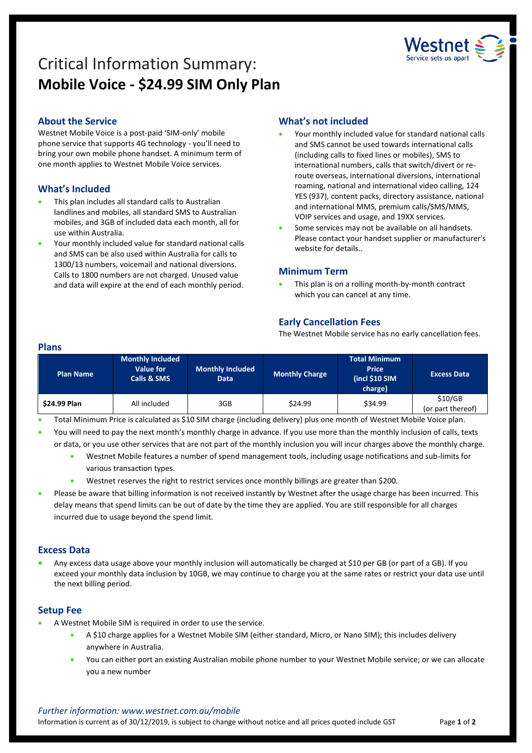

# Critical Information Summary: **Mobile Voice - \$24.99 SIM Only Plan**

# **About the Service**

Westnet Mobile Voice is a post-paid 'SIM-only' mobile phone service that supports 4G technology - you'll need to bring your own mobile phone handset. A minimum term of one month applies to Westnet Mobile Voice services.

# **What's Included**

- This plan includes all standard calls to Australian landlines and mobiles, all standard SMS to Australian mobiles, and 3GB of included data each month, all for use within Australia.
- Your monthly included value for standard national calls and SMS can be also used within Australia for calls to 1300/13 numbers, voicemail and national diversions. Calls to 1800 numbers are not charged. Unused value and data will expire at the end of each monthly period.

# **What's not included**

- Your monthly included value for standard national calls and SMS cannot be used towards international calls (including calls to fixed lines or mobiles), SMS to international numbers, calls that switch/divert or reroute overseas, international diversions, international roaming, national and international video calling, 124 YES (937), content packs, directory assistance, national and international MMS, premium calls/SMS/MMS, VOIP services and usage, and 19XX services.
- Some services may not be available on all handsets. Please contact your handset supplier or manufacturer's website for details..

## **Minimum Term**

 This plan is on a rolling month-by-month contract which you can cancel at any time.

# **Early Cancellation Fees**

The Westnet Mobile service has no early cancellation fees.

#### **Plans**

| <b>Plan Name</b>    | <b>Monthly Included</b><br>Value for<br><b>Calls &amp; SMS</b> | <b>Monthly Included</b><br>Data | <b>Monthly Charge</b> | <b>Total Minimum</b><br><b>Price</b><br>(incl \$10 SIM<br>charge) | <b>Excess Data</b>           |
|---------------------|----------------------------------------------------------------|---------------------------------|-----------------------|-------------------------------------------------------------------|------------------------------|
| <b>\$24.99 Plan</b> | All included                                                   | 3GB                             | \$24.99               | \$34.99                                                           | \$10/GB<br>(or part thereof) |

Total Minimum Price is calculated as \$10 SIM charge (including delivery) plus one month of Westnet Mobile Voice plan.

- You will need to pay the next month's monthly charge in advance. If you use more than the monthly inclusion of calls, texts or data, or you use other services that are not part of the monthly inclusion you will incur charges above the monthly charge.
	- Westnet Mobile features a number of spend management tools, including usage notifications and sub-limits for various transaction types.
	- Westnet reserves the right to restrict services once monthly billings are greater than \$200.
- Please be aware that billing information is not received instantly by Westnet after the usage charge has been incurred. This delay means that spend limits can be out of date by the time they are applied. You are still responsible for all charges incurred due to usage beyond the spend limit.

## **Excess Data**

 Any excess data usage above your monthly inclusion will automatically be charged at \$10 per GB (or part of a GB). If you exceed your monthly data inclusion by 10GB, we may continue to charge you at the same rates or restrict your data use until the next billing period.

## **Setup Fee**

- A Westnet Mobile SIM is required in order to use the service.
	- A \$10 charge applies for a Westnet Mobile SIM (either standard, Micro, or Nano SIM); this includes delivery anywhere in Australia.
	- You can either port an existing Australian mobile phone number to your Westnet Mobile service; or we can allocate you a new number